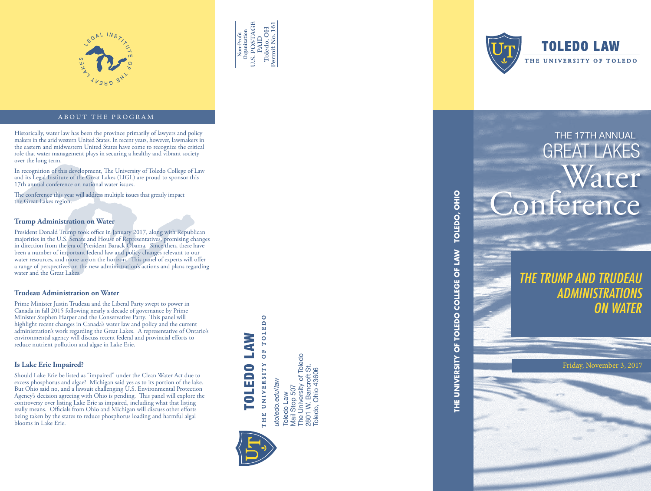



#### ABOUT THE PROGRAM

Historically, water law has been the province primarily of lawyers and policy and policy and policy and policy the arid western United States. In recent years, however, lawmakers in the arid western United States. In recen the eastern and midwestern United States have come to recognize the critical role that water management plays in securing a healthy and vibrant society over the long term.

In recognition of this development, The University of Toledo College of Law and its Legal Institute of the Great Lakes (LIGL) are proud to sponsor this 17th annual conference on national water issues.

The conference this year will address multiple issues that greatly impact the Great Lakes region.

#### **Trump Administration on Water**

President Donald Trump took office in January 2017, along with Republican majorities in the U.S. Senate and House of Representatives, promising changes in direction from the era of President Barack Obama. Since then, there have been a number of important federal law and policy changes relevant to our water resources, and more are on the horizon. This panel of experts will offer a range of perspectives on the new administration's actions and plans regarding water and the Great Lakes.

#### **Trudeau Administration on Water**

Prime Minister Justin Trudeau and the Liberal Party swept to power in Canada in fall 2015 following nearly a decade of governance by Prime Minister Stephen Harper and the Conservative Party. This panel will highlight recent changes in Canada's water law and policy and the current administration's work regarding the Great Lakes. A representative of Ontario's environmental agency will discuss recent federal and provincial efforts to reduce nutrient pollution and algae in Lake Erie.

#### **Is Lake Erie Impaired?**

Should Lake Erie be listed as "impaired" under the Clean Water Act due to excess phosphorus and algae? Michigan said yes as to its portion of the lake. But Ohio said no, and a lawsuit challenging U.S. Environmental Protection Agency's decision agreeing with Ohio is pending. This panel will explore the controversy over listing Lake Erie as impaired, including what that listing really means. Officials from Ohio and Michigan will discuss other efforts being taken by the states to reduce phosphorus loading and harmful algal blooms in Lake Erie.

OF TOLEDO TOLEDO LAW THE UNIVERSITY

Toledo Law<br>Mail Stop 507<br>The University of Toledo<br>2801 W. Bancroft St.<br>Toledo, Ohio 43606 The University of Toledo 2801 W. Bancroft St. Toledo, Ohio 43606utoledo.edu/law *utoledo.edu/law* Mail Stop 507 Toledo Law





## GREAT LAKES Water onference

*THE TRUMP AND TRUD ADMINISTRATIONS ON WATER*

**THE UNIVERSITY OF TOLEDO COLLEGE OF LAW TOLEDO, OHIO**

THE UNIVERSITY OF TOLEDO COLLEGE OF LAW

TOLEDO, OHIO

Friday, November 3, 2017